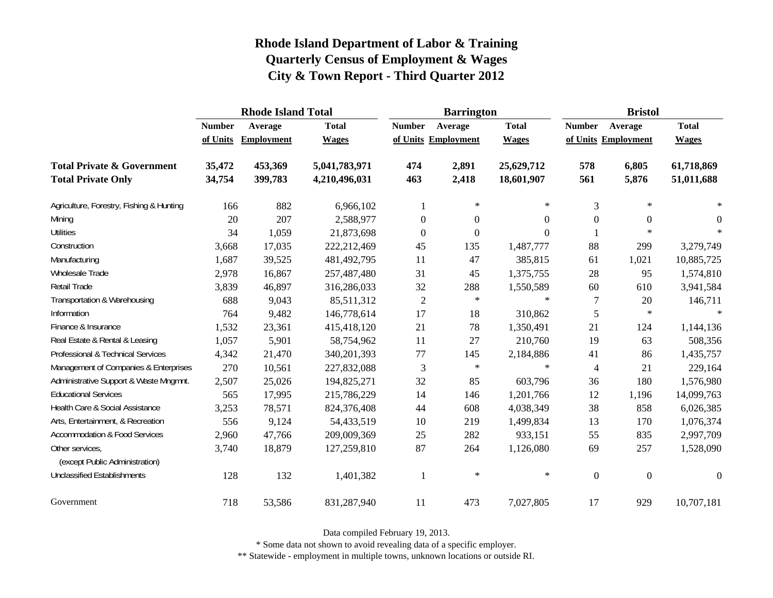|                                                   |               | <b>Rhode Island Total</b> |               |                     | <b>Barrington</b> |              | <b>Bristol</b>   |                     |                  |  |
|---------------------------------------------------|---------------|---------------------------|---------------|---------------------|-------------------|--------------|------------------|---------------------|------------------|--|
|                                                   | <b>Number</b> | Average                   | <b>Total</b>  | <b>Number</b>       | Average           | <b>Total</b> | <b>Number</b>    | Average             | <b>Total</b>     |  |
|                                                   | of Units      | Employment                | <b>Wages</b>  | of Units Employment |                   | <b>Wages</b> |                  | of Units Employment | <b>Wages</b>     |  |
| <b>Total Private &amp; Government</b>             | 35,472        | 453,369                   | 5,041,783,971 | 474                 | 2,891             | 25,629,712   | 578              | 6,805               | 61,718,869       |  |
| <b>Total Private Only</b>                         | 34,754        | 399,783                   | 4,210,496,031 | 463                 | 2,418             | 18,601,907   | 561              | 5,876               | 51,011,688       |  |
| Agriculture, Forestry, Fishing & Hunting          | 166           | 882                       | 6,966,102     | 1                   | $\ast$            | $\ast$       | 3                | $\ast$              |                  |  |
| Mining                                            | 20            | 207                       | 2,588,977     | $\overline{0}$      | $\overline{0}$    | 0            | $\overline{0}$   | $\overline{0}$      | $\theta$         |  |
| <b>Utilities</b>                                  | 34            | 1,059                     | 21,873,698    | $\mathbf{0}$        | $\boldsymbol{0}$  | $\theta$     |                  | $\ast$              | $\ast$           |  |
| Construction                                      | 3,668         | 17,035                    | 222,212,469   | 45                  | 135               | 1,487,777    | 88               | 299                 | 3,279,749        |  |
| Manufacturing                                     | 1,687         | 39,525                    | 481,492,795   | 11                  | 47                | 385,815      | 61               | 1,021               | 10,885,725       |  |
| Wholesale Trade                                   | 2,978         | 16,867                    | 257,487,480   | 31                  | 45                | 1,375,755    | 28               | 95                  | 1,574,810        |  |
| Retail Trade                                      | 3,839         | 46,897                    | 316,286,033   | 32                  | 288               | 1,550,589    | 60               | 610                 | 3,941,584        |  |
| Transportation & Warehousing                      | 688           | 9,043                     | 85,511,312    | $\sqrt{2}$          | $\ast$            | $\star$      | $\tau$           | $20\,$              | 146,711          |  |
| Information                                       | 764           | 9,482                     | 146,778,614   | 17                  | 18                | 310,862      | 5                | $\ast$              | $\ast$           |  |
| Finance & Insurance                               | 1,532         | 23,361                    | 415,418,120   | 21                  | 78                | 1,350,491    | 21               | 124                 | 1,144,136        |  |
| Real Estate & Rental & Leasing                    | 1,057         | 5,901                     | 58,754,962    | 11                  | 27                | 210,760      | 19               | 63                  | 508,356          |  |
| Professional & Technical Services                 | 4,342         | 21,470                    | 340,201,393   | $77 \,$             | 145               | 2,184,886    | 41               | 86                  | 1,435,757        |  |
| Management of Companies & Enterprises             | 270           | 10,561                    | 227,832,088   | 3                   | $\ast$            | $\star$      | $\overline{4}$   | 21                  | 229,164          |  |
| Administrative Support & Waste Mngmnt.            | 2,507         | 25,026                    | 194,825,271   | 32                  | 85                | 603,796      | 36               | 180                 | 1,576,980        |  |
| <b>Educational Services</b>                       | 565           | 17,995                    | 215,786,229   | 14                  | 146               | 1,201,766    | 12               | 1,196               | 14,099,763       |  |
| Health Care & Social Assistance                   | 3,253         | 78,571                    | 824,376,408   | 44                  | 608               | 4,038,349    | 38               | 858                 | 6,026,385        |  |
| Arts, Entertainment, & Recreation                 | 556           | 9,124                     | 54,433,519    | 10                  | 219               | 1,499,834    | 13               | 170                 | 1,076,374        |  |
| <b>Accommodation &amp; Food Services</b>          | 2,960         | 47,766                    | 209,009,369   | 25                  | 282               | 933,151      | 55               | 835                 | 2,997,709        |  |
| Other services,<br>(except Public Administration) | 3,740         | 18,879                    | 127,259,810   | 87                  | 264               | 1,126,080    | 69               | 257                 | 1,528,090        |  |
| <b>Unclassified Establishments</b>                | 128           | 132                       | 1,401,382     | 1                   | $\ast$            | $\ast$       | $\boldsymbol{0}$ | $\boldsymbol{0}$    | $\boldsymbol{0}$ |  |
| Government                                        | 718           | 53,586                    | 831,287,940   | 11                  | 473               | 7,027,805    | 17               | 929                 | 10,707,181       |  |

Data compiled February 19, 2013.

\* Some data not shown to avoid revealing data of a specific employer.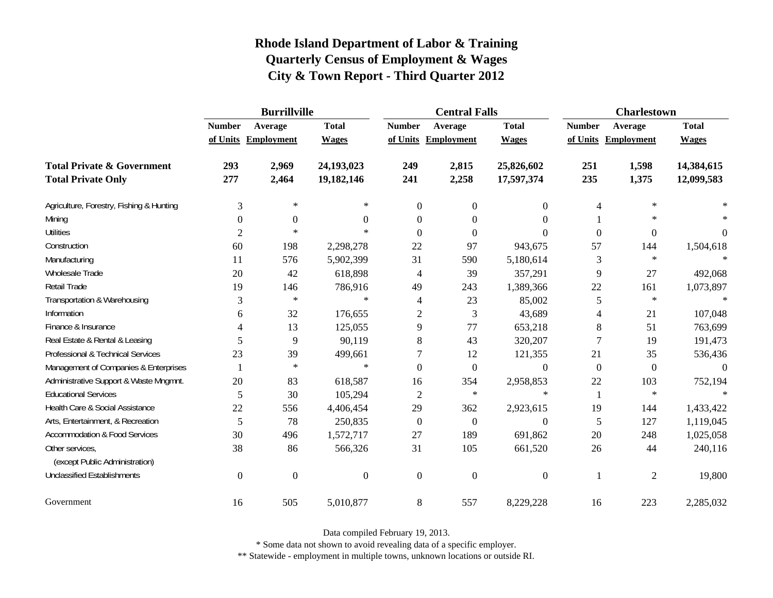|                                          | <b>Burrillville</b> |                     |                  |                          | <b>Central Falls</b> |                  | <b>Charlestown</b> |                     |              |  |
|------------------------------------------|---------------------|---------------------|------------------|--------------------------|----------------------|------------------|--------------------|---------------------|--------------|--|
|                                          | <b>Number</b>       | Average             | <b>Total</b>     | <b>Number</b>            | Average              | <b>Total</b>     | <b>Number</b>      | Average             | <b>Total</b> |  |
|                                          |                     | of Units Employment | <b>Wages</b>     |                          | of Units Employment  | <b>Wages</b>     |                    | of Units Employment | <b>Wages</b> |  |
| <b>Total Private &amp; Government</b>    | 293                 | 2,969               | 24,193,023       | 249                      | 2,815                | 25,826,602       | 251                | 1,598               | 14,384,615   |  |
| <b>Total Private Only</b>                | 277                 | 2,464               | 19,182,146       | 241                      | 2,258                | 17,597,374       | 235                | 1,375               | 12,099,583   |  |
| Agriculture, Forestry, Fishing & Hunting | 3                   | $\ast$              | $\ast$           | $\theta$                 | $\overline{0}$       | $\overline{0}$   | 4                  | $\ast$              |              |  |
| Mining                                   | 0                   | $\theta$            | 0                | $\Omega$                 | $\Omega$             | $\theta$         |                    | $\ast$              |              |  |
| <b>Utilities</b>                         | 2                   | $\ast$              | $\ast$           | $\Omega$                 | $\Omega$             | $\Omega$         | $\overline{0}$     | $\overline{0}$      | 0            |  |
| Construction                             | 60                  | 198                 | 2,298,278        | 22                       | 97                   | 943,675          | 57                 | 144                 | 1,504,618    |  |
| Manufacturing                            | 11                  | 576                 | 5,902,399        | 31                       | 590                  | 5,180,614        | 3                  | $\ast$              |              |  |
| Wholesale Trade                          | 20                  | 42                  | 618,898          | $\overline{\mathcal{L}}$ | 39                   | 357,291          | 9                  | 27                  | 492,068      |  |
| Retail Trade                             | 19                  | 146                 | 786,916          | 49                       | 243                  | 1,389,366        | 22                 | 161                 | 1,073,897    |  |
| Transportation & Warehousing             | 3                   | $\ast$              | $\ast$           | 4                        | 23                   | 85,002           | 5                  | $\ast$              | $\ast$       |  |
| Information                              | 6                   | 32                  | 176,655          | $\overline{c}$           | 3                    | 43,689           | 4                  | 21                  | 107,048      |  |
| Finance & Insurance                      |                     | 13                  | 125,055          | 9                        | 77                   | 653,218          | 8                  | 51                  | 763,699      |  |
| Real Estate & Rental & Leasing           | 5                   | 9                   | 90,119           | 8                        | 43                   | 320,207          | 7                  | 19                  | 191,473      |  |
| Professional & Technical Services        | 23                  | 39                  | 499,661          | 7                        | 12                   | 121,355          | 21                 | 35                  | 536,436      |  |
| Management of Companies & Enterprises    |                     | $\ast$              | $\ast$           | $\theta$                 | $\boldsymbol{0}$     | $\boldsymbol{0}$ | $\overline{0}$     | $\overline{0}$      | $\Omega$     |  |
| Administrative Support & Waste Mngmnt.   | 20                  | 83                  | 618,587          | 16                       | 354                  | 2,958,853        | 22                 | 103                 | 752,194      |  |
| <b>Educational Services</b>              | 5                   | 30                  | 105,294          | 2                        | $\ast$               | $\ast$           | 1                  | $\ast$              |              |  |
| Health Care & Social Assistance          | 22                  | 556                 | 4,406,454        | 29                       | 362                  | 2,923,615        | 19                 | 144                 | 1,433,422    |  |
| Arts, Entertainment, & Recreation        | 5                   | 78                  | 250,835          | $\theta$                 | $\overline{0}$       | $\Omega$         | 5                  | 127                 | 1,119,045    |  |
| <b>Accommodation &amp; Food Services</b> | 30                  | 496                 | 1,572,717        | 27                       | 189                  | 691,862          | $20\,$             | 248                 | 1,025,058    |  |
| Other services,                          | 38                  | 86                  | 566,326          | 31                       | 105                  | 661,520          | 26                 | 44                  | 240,116      |  |
| (except Public Administration)           |                     |                     |                  |                          |                      |                  |                    |                     |              |  |
| <b>Unclassified Establishments</b>       | $\boldsymbol{0}$    | $\mathbf{0}$        | $\boldsymbol{0}$ | $\overline{0}$           | $\overline{0}$       | $\boldsymbol{0}$ |                    | $\mathfrak{2}$      | 19,800       |  |
| Government                               | 16                  | 505                 | 5,010,877        | 8                        | 557                  | 8,229,228        | 16                 | 223                 | 2,285,032    |  |

Data compiled February 19, 2013.

\* Some data not shown to avoid revealing data of a specific employer.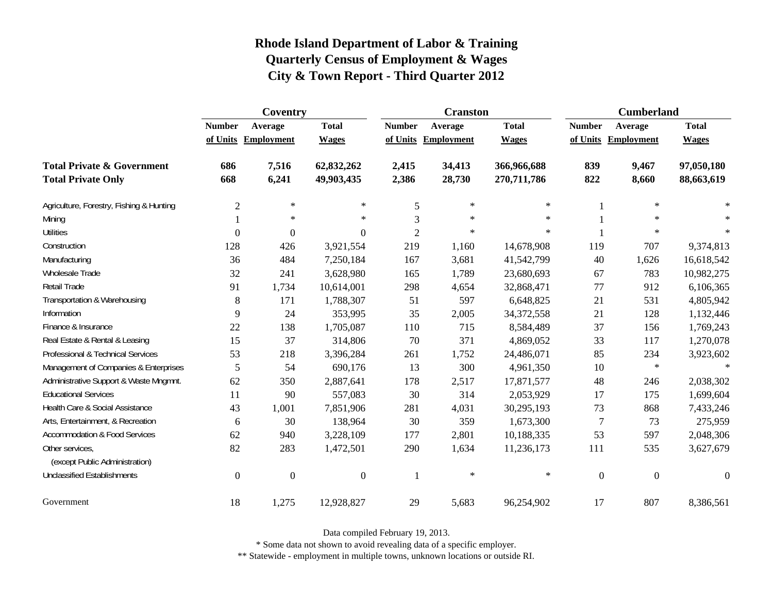|                                                   | Coventry         |                     |                  |                | <b>Cranston</b>     |              | <b>Cumberland</b> |                     |                  |
|---------------------------------------------------|------------------|---------------------|------------------|----------------|---------------------|--------------|-------------------|---------------------|------------------|
|                                                   | <b>Number</b>    | Average             | <b>Total</b>     | <b>Number</b>  | Average             | <b>Total</b> | <b>Number</b>     | Average             | <b>Total</b>     |
|                                                   |                  | of Units Employment | <b>Wages</b>     |                | of Units Employment | <b>Wages</b> |                   | of Units Employment | <b>Wages</b>     |
| <b>Total Private &amp; Government</b>             | 686              | 7,516               | 62,832,262       | 2,415          | 34,413              | 366,966,688  | 839               | 9,467               | 97,050,180       |
| <b>Total Private Only</b>                         | 668              | 6,241               | 49,903,435       | 2,386          | 28,730              | 270,711,786  | 822               | 8,660               | 88,663,619       |
| Agriculture, Forestry, Fishing & Hunting          | $\overline{2}$   | $\ast$              | $\ast$           | 5              | $\ast$              | $\ast$       | 1                 | $\ast$              |                  |
| Mining                                            |                  | $\ast$              | $\ast$           | 3              | $\ast$              | $\ast$       |                   | $\ast$              | $\ast$           |
| <b>Utilities</b>                                  | $\mathbf{0}$     | $\overline{0}$      | $\overline{0}$   | $\overline{2}$ | $\ast$              | $\ast$       |                   | $\star$             | $\ast$           |
| Construction                                      | 128              | 426                 | 3,921,554        | 219            | 1,160               | 14,678,908   | 119               | 707                 | 9,374,813        |
| Manufacturing                                     | 36               | 484                 | 7,250,184        | 167            | 3,681               | 41,542,799   | 40                | 1,626               | 16,618,542       |
| Wholesale Trade                                   | 32               | 241                 | 3,628,980        | 165            | 1,789               | 23,680,693   | 67                | 783                 | 10,982,275       |
| <b>Retail Trade</b>                               | 91               | 1,734               | 10,614,001       | 298            | 4,654               | 32,868,471   | 77                | 912                 | 6,106,365        |
| Transportation & Warehousing                      | 8                | 171                 | 1,788,307        | 51             | 597                 | 6,648,825    | 21                | 531                 | 4,805,942        |
| Information                                       | 9                | 24                  | 353,995          | 35             | 2,005               | 34, 372, 558 | 21                | 128                 | 1,132,446        |
| Finance & Insurance                               | 22               | 138                 | 1,705,087        | 110            | 715                 | 8,584,489    | 37                | 156                 | 1,769,243        |
| Real Estate & Rental & Leasing                    | 15               | 37                  | 314,806          | 70             | 371                 | 4,869,052    | 33                | 117                 | 1,270,078        |
| Professional & Technical Services                 | 53               | 218                 | 3,396,284        | 261            | 1,752               | 24,486,071   | 85                | 234                 | 3,923,602        |
| Management of Companies & Enterprises             | 5                | 54                  | 690,176          | 13             | 300                 | 4,961,350    | 10                | $\ast$              | $\ast$           |
| Administrative Support & Waste Mngmnt.            | 62               | 350                 | 2,887,641        | 178            | 2,517               | 17,871,577   | 48                | 246                 | 2,038,302        |
| <b>Educational Services</b>                       | 11               | 90                  | 557,083          | 30             | 314                 | 2,053,929    | 17                | 175                 | 1,699,604        |
| Health Care & Social Assistance                   | 43               | 1,001               | 7,851,906        | 281            | 4,031               | 30,295,193   | 73                | 868                 | 7,433,246        |
| Arts, Entertainment, & Recreation                 | 6                | 30                  | 138,964          | 30             | 359                 | 1,673,300    | 7                 | 73                  | 275,959          |
| Accommodation & Food Services                     | 62               | 940                 | 3,228,109        | 177            | 2,801               | 10,188,335   | 53                | 597                 | 2,048,306        |
| Other services,<br>(except Public Administration) | 82               | 283                 | 1,472,501        | 290            | 1,634               | 11,236,173   | 111               | 535                 | 3,627,679        |
| <b>Unclassified Establishments</b>                | $\boldsymbol{0}$ | $\boldsymbol{0}$    | $\boldsymbol{0}$ | 1              | $\ast$              | $\ast$       | $\boldsymbol{0}$  | $\boldsymbol{0}$    | $\boldsymbol{0}$ |
| Government                                        | 18               | 1,275               | 12,928,827       | 29             | 5,683               | 96,254,902   | 17                | 807                 | 8,386,561        |

Data compiled February 19, 2013.

\* Some data not shown to avoid revealing data of a specific employer.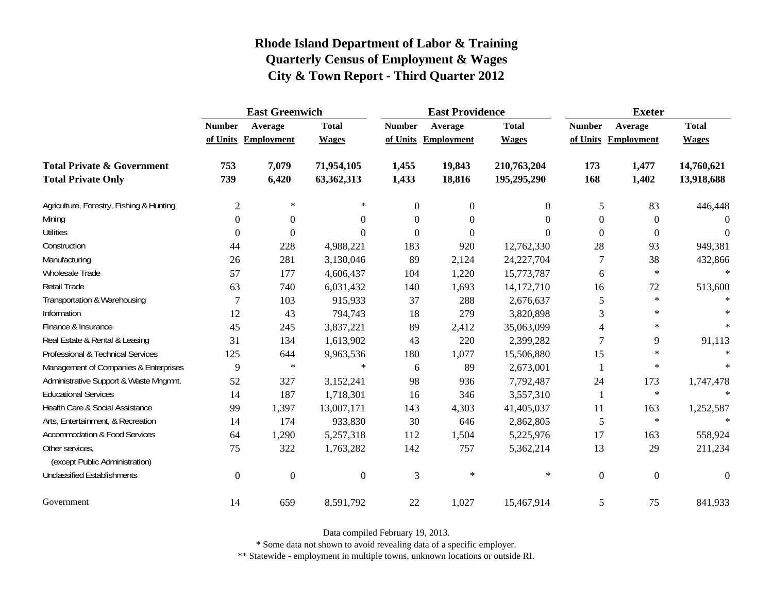|                                                   | <b>East Greenwich</b> |                     |                |                  | <b>East Providence</b> |                  | <b>Exeter</b>    |                     |                  |
|---------------------------------------------------|-----------------------|---------------------|----------------|------------------|------------------------|------------------|------------------|---------------------|------------------|
|                                                   | <b>Number</b>         | Average             | <b>Total</b>   | <b>Number</b>    | Average                | <b>Total</b>     | <b>Number</b>    | Average             | <b>Total</b>     |
|                                                   |                       | of Units Employment | <b>Wages</b>   |                  | of Units Employment    | <b>Wages</b>     |                  | of Units Employment | <b>Wages</b>     |
| <b>Total Private &amp; Government</b>             | 753                   | 7,079               | 71,954,105     | 1,455            | 19,843                 | 210,763,204      | 173              | 1,477               | 14,760,621       |
| <b>Total Private Only</b>                         | 739                   | 6,420               | 63,362,313     | 1,433            | 18,816                 | 195,295,290      | 168              | 1,402               | 13,918,688       |
| Agriculture, Forestry, Fishing & Hunting          | $\mathfrak{2}$        | $\ast$              | $\ast$         | $\boldsymbol{0}$ | $\boldsymbol{0}$       | $\boldsymbol{0}$ | 5                | 83                  | 446,448          |
| Mining                                            | $\Omega$              | $\boldsymbol{0}$    | $\Omega$       | $\boldsymbol{0}$ | $\boldsymbol{0}$       | $\theta$         | $\theta$         | $\boldsymbol{0}$    | $\Omega$         |
| <b>Utilities</b>                                  | $\Omega$              | $\Omega$            | $\Omega$       | $\theta$         | $\theta$               | $\Omega$         | $\theta$         | $\mathbf{0}$        | $\Omega$         |
| Construction                                      | 44                    | 228                 | 4,988,221      | 183              | 920                    | 12,762,330       | 28               | 93                  | 949,381          |
| Manufacturing                                     | 26                    | 281                 | 3,130,046      | 89               | 2,124                  | 24, 227, 704     | 7                | 38                  | 432,866          |
| <b>Wholesale Trade</b>                            | 57                    | 177                 | 4,606,437      | 104              | 1,220                  | 15,773,787       | 6                | $\ast$              | $\ast$           |
| Retail Trade                                      | 63                    | 740                 | 6,031,432      | 140              | 1,693                  | 14,172,710       | 16               | 72                  | 513,600          |
| Transportation & Warehousing                      | $\tau$                | 103                 | 915,933        | 37               | 288                    | 2,676,637        | $\mathfrak{S}$   | $\ast$              | $\ast$           |
| Information                                       | 12                    | 43                  | 794,743        | 18               | 279                    | 3,820,898        | 3                | $\ast$              |                  |
| Finance & Insurance                               | 45                    | 245                 | 3,837,221      | 89               | 2,412                  | 35,063,099       | 4                | $\ast$              | $\ast$           |
| Real Estate & Rental & Leasing                    | 31                    | 134                 | 1,613,902      | 43               | 220                    | 2,399,282        | $\overline{7}$   | 9                   | 91,113           |
| Professional & Technical Services                 | 125                   | 644                 | 9,963,536      | 180              | 1,077                  | 15,506,880       | 15               | $\ast$              |                  |
| Management of Companies & Enterprises             | 9                     | $\ast$              | $\ast$         | 6                | 89                     | 2,673,001        | 1                | $\ast$              | $\ast$           |
| Administrative Support & Waste Mngmnt.            | 52                    | 327                 | 3,152,241      | 98               | 936                    | 7,792,487        | 24               | 173                 | 1,747,478        |
| <b>Educational Services</b>                       | 14                    | 187                 | 1,718,301      | 16               | 346                    | 3,557,310        | -1               | $\ast$              |                  |
| Health Care & Social Assistance                   | 99                    | 1,397               | 13,007,171     | 143              | 4,303                  | 41,405,037       | 11               | 163                 | 1,252,587        |
| Arts, Entertainment, & Recreation                 | 14                    | 174                 | 933,830        | 30               | 646                    | 2,862,805        | 5                | $\ast$              | $\ast$           |
| <b>Accommodation &amp; Food Services</b>          | 64                    | 1,290               | 5,257,318      | 112              | 1,504                  | 5,225,976        | 17               | 163                 | 558,924          |
| Other services,<br>(except Public Administration) | 75                    | 322                 | 1,763,282      | 142              | 757                    | 5,362,214        | 13               | 29                  | 211,234          |
| <b>Unclassified Establishments</b>                | $\boldsymbol{0}$      | $\boldsymbol{0}$    | $\overline{0}$ | 3                | $\ast$                 | $\ast$           | $\boldsymbol{0}$ | $\boldsymbol{0}$    | $\boldsymbol{0}$ |
| Government                                        | 14                    | 659                 | 8,591,792      | 22               | 1,027                  | 15,467,914       | 5                | 75                  | 841,933          |

Data compiled February 19, 2013.

\* Some data not shown to avoid revealing data of a specific employer.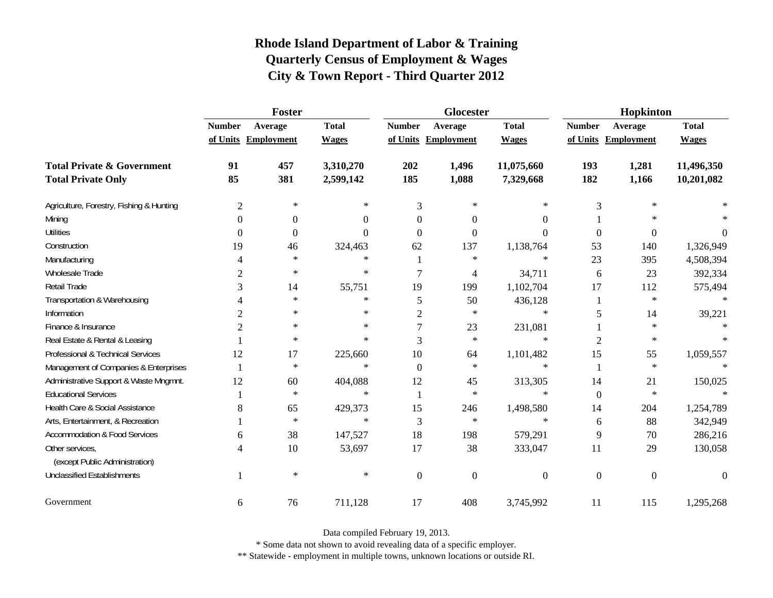|                                          |                | Foster              |              |                | <b>Glocester</b>    |                  | Hopkinton      |                     |                |  |
|------------------------------------------|----------------|---------------------|--------------|----------------|---------------------|------------------|----------------|---------------------|----------------|--|
|                                          | <b>Number</b>  | Average             | <b>Total</b> | <b>Number</b>  | Average             | <b>Total</b>     | <b>Number</b>  | Average             | <b>Total</b>   |  |
|                                          |                | of Units Employment | <b>Wages</b> |                | of Units Employment | <b>Wages</b>     |                | of Units Employment | <b>Wages</b>   |  |
| <b>Total Private &amp; Government</b>    | 91             | 457                 | 3,310,270    | 202            | 1,496               | 11,075,660       | 193            | 1,281               | 11,496,350     |  |
| <b>Total Private Only</b>                | 85             | 381                 | 2,599,142    | 185            | 1,088               | 7,329,668        | 182            | 1,166               | 10,201,082     |  |
| Agriculture, Forestry, Fishing & Hunting | $\mathfrak{2}$ | $\ast$              | ∗            | 3              | $\ast$              | ∗                | 3              | $\ast$              |                |  |
| Mining                                   | $\Omega$       | $\overline{0}$      | 0            | 0              | $\theta$            | $\Omega$         |                |                     |                |  |
| <b>Utilities</b>                         | $\overline{0}$ | $\boldsymbol{0}$    | $\theta$     | $\Omega$       | $\Omega$            | $\theta$         | $\overline{0}$ | $\theta$            | $\overline{0}$ |  |
| Construction                             | 19             | 46                  | 324,463      | 62             | 137                 | 1,138,764        | 53             | 140                 | 1,326,949      |  |
| Manufacturing                            | 4              | $\ast$              | $\ast$       |                | $\ast$              | $\ast$           | 23             | 395                 | 4,508,394      |  |
| Wholesale Trade                          | $\overline{c}$ | $\ast$              | $\ast$       | 7              | 4                   | 34,711           | 6              | 23                  | 392,334        |  |
| Retail Trade                             | 3              | 14                  | 55,751       | 19             | 199                 | 1,102,704        | 17             | 112                 | 575,494        |  |
| Transportation & Warehousing             |                | $\ast$              | $\ast$       | 5              | 50                  | 436,128          | 1              | $\ast$              | $\ast$         |  |
| Information                              | 2              | $\ast$              | $\ast$       | $\overline{c}$ | ∗                   | $\ast$           | 5              | 14                  | 39,221         |  |
| Finance & Insurance                      | $\overline{2}$ | $\ast$              | $\ast$       |                | 23                  | 231,081          |                | $\ast$              |                |  |
| Real Estate & Rental & Leasing           |                | $\ast$              | $\ast$       | 3              | $\ast$              | $\ast$           | $\overline{2}$ | $\ast$              |                |  |
| Professional & Technical Services        | 12             | 17                  | 225,660      | 10             | 64                  | 1,101,482        | 15             | 55                  | 1,059,557      |  |
| Management of Companies & Enterprises    |                | $\ast$              | $\ast$       | $\Omega$       | $\ast$              | $\ast$           |                | $\ast$              | $\ast$         |  |
| Administrative Support & Waste Mngmnt.   | 12             | 60                  | 404,088      | 12             | 45                  | 313,305          | 14             | 21                  | 150,025        |  |
| <b>Educational Services</b>              |                | $\ast$              | $\ast$       |                | $\ast$              | $\ast$           | $\mathbf{0}$   | $\ast$              |                |  |
| Health Care & Social Assistance          | 8              | 65                  | 429,373      | 15             | 246                 | 1,498,580        | 14             | 204                 | 1,254,789      |  |
| Arts, Entertainment, & Recreation        |                | $\ast$              | $\ast$       | 3              | $\ast$              | $\ast$           | 6              | 88                  | 342,949        |  |
| <b>Accommodation &amp; Food Services</b> | 6              | 38                  | 147,527      | 18             | 198                 | 579,291          | 9              | 70                  | 286,216        |  |
| Other services,                          | 4              | 10                  | 53,697       | 17             | 38                  | 333,047          | 11             | 29                  | 130,058        |  |
| (except Public Administration)           |                |                     |              |                |                     |                  |                |                     |                |  |
| <b>Unclassified Establishments</b>       |                | $\ast$              | $\ast$       | $\overline{0}$ | $\mathbf{0}$        | $\boldsymbol{0}$ | $\mathbf{0}$   | $\boldsymbol{0}$    | $\theta$       |  |
| Government                               | 6              | 76                  | 711,128      | 17             | 408                 | 3,745,992        | 11             | 115                 | 1,295,268      |  |

Data compiled February 19, 2013.

\* Some data not shown to avoid revealing data of a specific employer.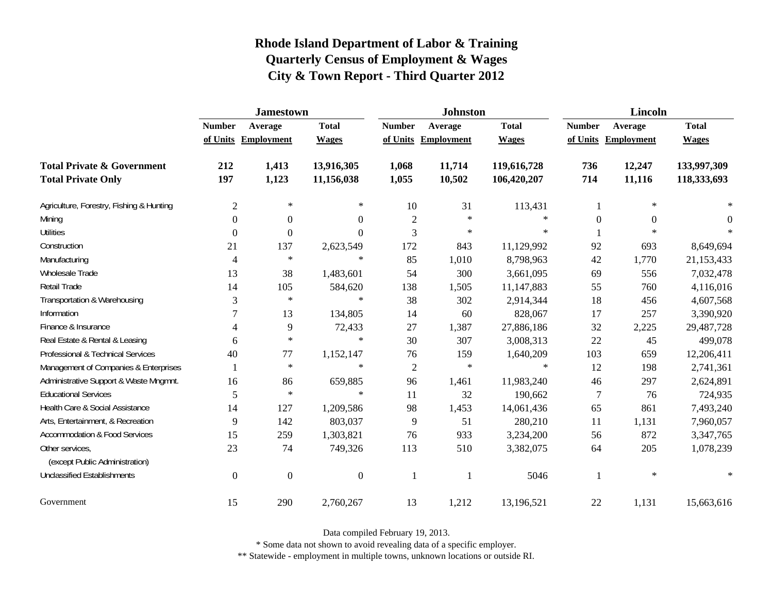|                                                   | <b>Jamestown</b> |                     |                  |                | <b>Johnston</b>   |              | <b>Lincoln</b>   |                     |              |
|---------------------------------------------------|------------------|---------------------|------------------|----------------|-------------------|--------------|------------------|---------------------|--------------|
|                                                   | <b>Number</b>    | Average             | <b>Total</b>     | <b>Number</b>  | Average           | <b>Total</b> | <b>Number</b>    | Average             | <b>Total</b> |
|                                                   |                  | of Units Employment | <b>Wages</b>     | of Units       | <b>Employment</b> | <b>Wages</b> |                  | of Units Employment | <b>Wages</b> |
| <b>Total Private &amp; Government</b>             | 212              | 1,413               | 13,916,305       | 1,068          | 11,714            | 119,616,728  | 736              | 12,247              | 133,997,309  |
| <b>Total Private Only</b>                         | 197              | 1,123               | 11,156,038       | 1,055          | 10,502            | 106,420,207  | 714              | 11,116              | 118,333,693  |
| Agriculture, Forestry, Fishing & Hunting          | $\overline{c}$   | $\ast$              | ∗                | 10             | 31                | 113,431      | 1                | $\ast$              |              |
| Mining                                            | 0                | $\overline{0}$      | 0                | $\overline{2}$ | $\ast$            | $\ast$       | $\boldsymbol{0}$ | $\Omega$            | $\Omega$     |
| <b>Utilities</b>                                  | 0                | $\Omega$            | $\boldsymbol{0}$ | 3              | $\ast$            | $\ast$       |                  | $\star$             | -sk          |
| Construction                                      | 21               | 137                 | 2,623,549        | 172            | 843               | 11,129,992   | 92               | 693                 | 8,649,694    |
| Manufacturing                                     | 4                | $\ast$              | $\ast$           | 85             | 1,010             | 8,798,963    | 42               | 1,770               | 21,153,433   |
| Wholesale Trade                                   | 13               | 38                  | 1,483,601        | 54             | 300               | 3,661,095    | 69               | 556                 | 7,032,478    |
| Retail Trade                                      | 14               | 105                 | 584,620          | 138            | 1,505             | 11,147,883   | 55               | 760                 | 4,116,016    |
| Transportation & Warehousing                      | 3                | $\ast$              | $\ast$           | 38             | 302               | 2,914,344    | 18               | 456                 | 4,607,568    |
| Information                                       | 7                | 13                  | 134,805          | 14             | 60                | 828,067      | 17               | 257                 | 3,390,920    |
| Finance & Insurance                               | 4                | 9                   | 72,433           | $27\,$         | 1,387             | 27,886,186   | 32               | 2,225               | 29,487,728   |
| Real Estate & Rental & Leasing                    | 6                | $\ast$              | $\ast$           | 30             | 307               | 3,008,313    | 22               | 45                  | 499,078      |
| Professional & Technical Services                 | 40               | 77                  | 1,152,147        | 76             | 159               | 1,640,209    | 103              | 659                 | 12,206,411   |
| Management of Companies & Enterprises             |                  | $\ast$              | $\ast$           | $\mathfrak{2}$ | $\ast$            | $\ast$       | 12               | 198                 | 2,741,361    |
| Administrative Support & Waste Mngmnt.            | 16               | 86                  | 659,885          | 96             | 1,461             | 11,983,240   | 46               | 297                 | 2,624,891    |
| <b>Educational Services</b>                       | 5                | $\ast$              | $\ast$           | 11             | 32                | 190,662      | 7                | 76                  | 724,935      |
| Health Care & Social Assistance                   | 14               | 127                 | 1,209,586        | 98             | 1,453             | 14,061,436   | 65               | 861                 | 7,493,240    |
| Arts, Entertainment, & Recreation                 | 9                | 142                 | 803,037          | 9              | 51                | 280,210      | 11               | 1,131               | 7,960,057    |
| <b>Accommodation &amp; Food Services</b>          | 15               | 259                 | 1,303,821        | 76             | 933               | 3,234,200    | 56               | 872                 | 3,347,765    |
| Other services,<br>(except Public Administration) | 23               | 74                  | 749,326          | 113            | 510               | 3,382,075    | 64               | 205                 | 1,078,239    |
| <b>Unclassified Establishments</b>                | $\boldsymbol{0}$ | $\boldsymbol{0}$    | $\boldsymbol{0}$ | $\mathbf{1}$   |                   | 5046         |                  | $\ast$              | $\ast$       |
| Government                                        | 15               | 290                 | 2,760,267        | 13             | 1,212             | 13,196,521   | 22               | 1,131               | 15,663,616   |

Data compiled February 19, 2013.

\* Some data not shown to avoid revealing data of a specific employer.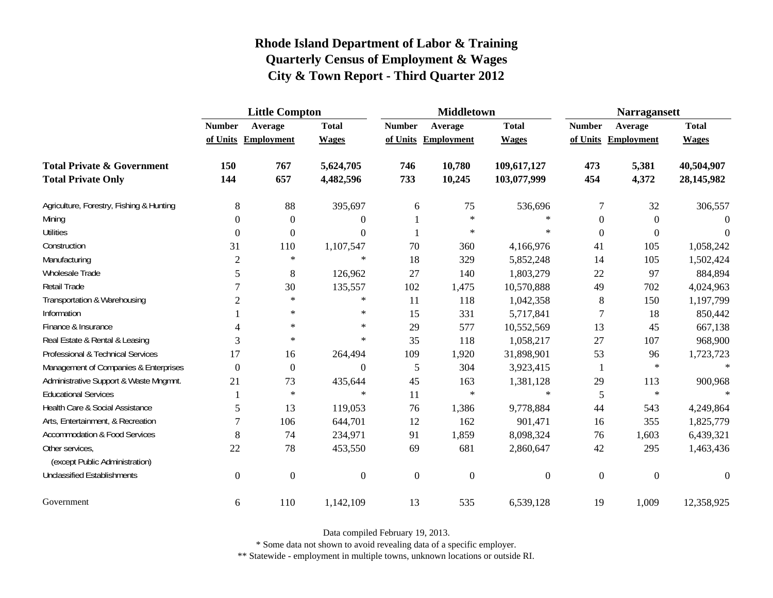|                                                   | <b>Little Compton</b> |                     |                |                  | <b>Middletown</b>   |                  | <b>Narragansett</b> |                     |                  |
|---------------------------------------------------|-----------------------|---------------------|----------------|------------------|---------------------|------------------|---------------------|---------------------|------------------|
|                                                   | <b>Number</b>         | Average             | <b>Total</b>   | <b>Number</b>    | Average             | <b>Total</b>     | <b>Number</b>       | Average             | <b>Total</b>     |
|                                                   |                       | of Units Employment | <b>Wages</b>   |                  | of Units Employment | <b>Wages</b>     |                     | of Units Employment | <b>Wages</b>     |
| <b>Total Private &amp; Government</b>             | 150                   | 767                 | 5,624,705      | 746              | 10,780              | 109,617,127      | 473                 | 5,381               | 40,504,907       |
| <b>Total Private Only</b>                         | 144                   | 657                 | 4,482,596      | 733              | 10,245              | 103,077,999      | 454                 | 4,372               | 28,145,982       |
| Agriculture, Forestry, Fishing & Hunting          | 8                     | 88                  | 395,697        | 6                | 75                  | 536,696          | 7                   | 32                  | 306,557          |
| Mining                                            | $\Omega$              | $\boldsymbol{0}$    | 0              |                  | $\ast$              | $\ast$           | $\theta$            | $\boldsymbol{0}$    | $\Omega$         |
| <b>Utilities</b>                                  | $\mathbf{0}$          | $\boldsymbol{0}$    | $\Omega$       |                  | $\ast$              | $\ast$           | $\mathbf{0}$        | $\boldsymbol{0}$    | $\Omega$         |
| Construction                                      | 31                    | 110                 | 1,107,547      | 70               | 360                 | 4,166,976        | 41                  | 105                 | 1,058,242        |
| Manufacturing                                     | $\overline{2}$        | $\ast$              | $\ast$         | 18               | 329                 | 5,852,248        | 14                  | 105                 | 1,502,424        |
| Wholesale Trade                                   | 5                     | 8                   | 126,962        | 27               | 140                 | 1,803,279        | 22                  | 97                  | 884,894          |
| Retail Trade                                      | 7                     | 30                  | 135,557        | 102              | 1,475               | 10,570,888       | 49                  | 702                 | 4,024,963        |
| Transportation & Warehousing                      | $\overline{2}$        | $\ast$              | $\ast$         | 11               | 118                 | 1,042,358        | $8\phantom{1}$      | 150                 | 1,197,799        |
| Information                                       |                       | $\ast$              | $\ast$         | 15               | 331                 | 5,717,841        | 7                   | 18                  | 850,442          |
| Finance & Insurance                               |                       | $\ast$              | $\ast$         | 29               | 577                 | 10,552,569       | 13                  | 45                  | 667,138          |
| Real Estate & Rental & Leasing                    | $\overline{3}$        | $\ast$              | $\ast$         | 35               | 118                 | 1,058,217        | 27                  | 107                 | 968,900          |
| Professional & Technical Services                 | 17                    | 16                  | 264,494        | 109              | 1,920               | 31,898,901       | 53                  | 96                  | 1,723,723        |
| Management of Companies & Enterprises             | $\boldsymbol{0}$      | 0                   | $\Omega$       | 5                | 304                 | 3,923,415        | 1                   | $\ast$              | $\ast$           |
| Administrative Support & Waste Mngmnt.            | 21                    | 73                  | 435,644        | 45               | 163                 | 1,381,128        | 29                  | 113                 | 900,968          |
| <b>Educational Services</b>                       |                       | $\ast$              | $\ast$         | 11               | $\ast$              | $\ast$           | 5                   | $\ast$              |                  |
| Health Care & Social Assistance                   | 5                     | 13                  | 119,053        | 76               | 1,386               | 9,778,884        | 44                  | 543                 | 4,249,864        |
| Arts, Entertainment, & Recreation                 | 7                     | 106                 | 644,701        | 12               | 162                 | 901,471          | 16                  | 355                 | 1,825,779        |
| <b>Accommodation &amp; Food Services</b>          | 8                     | 74                  | 234,971        | 91               | 1,859               | 8,098,324        | 76                  | 1,603               | 6,439,321        |
| Other services,<br>(except Public Administration) | 22                    | 78                  | 453,550        | 69               | 681                 | 2,860,647        | 42                  | 295                 | 1,463,436        |
| <b>Unclassified Establishments</b>                | $\boldsymbol{0}$      | $\boldsymbol{0}$    | $\overline{0}$ | $\boldsymbol{0}$ | $\boldsymbol{0}$    | $\boldsymbol{0}$ | $\boldsymbol{0}$    | $\boldsymbol{0}$    | $\boldsymbol{0}$ |
| Government                                        | 6                     | 110                 | 1,142,109      | 13               | 535                 | 6,539,128        | 19                  | 1,009               | 12,358,925       |

Data compiled February 19, 2013.

\* Some data not shown to avoid revealing data of a specific employer.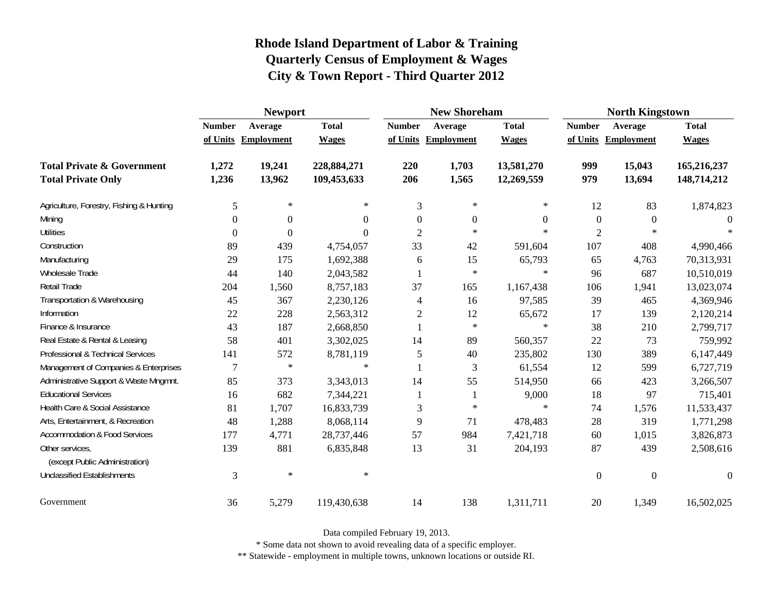|                                                   | <b>Newport</b> |                     |              |                          | <b>New Shoreham</b> |                  | <b>North Kingstown</b> |                     |                  |
|---------------------------------------------------|----------------|---------------------|--------------|--------------------------|---------------------|------------------|------------------------|---------------------|------------------|
|                                                   | <b>Number</b>  | Average             | <b>Total</b> | <b>Number</b>            | Average             | <b>Total</b>     | <b>Number</b>          | Average             | <b>Total</b>     |
|                                                   |                | of Units Employment | <b>Wages</b> |                          | of Units Employment | <b>Wages</b>     |                        | of Units Employment | <b>Wages</b>     |
| <b>Total Private &amp; Government</b>             | 1,272          | 19,241              | 228,884,271  | 220                      | 1,703               | 13,581,270       | 999                    | 15,043              | 165,216,237      |
| <b>Total Private Only</b>                         | 1,236          | 13,962              | 109,453,633  | 206                      | 1,565               | 12,269,559       | 979                    | 13,694              | 148,714,212      |
| Agriculture, Forestry, Fishing & Hunting          | 5              | $\ast$              | $\ast$       | 3                        | $\ast$              | ∗                | 12                     | 83                  | 1,874,823        |
| Mining                                            | 0              | $\Omega$            | $\theta$     | $\overline{0}$           | $\Omega$            | $\boldsymbol{0}$ | $\boldsymbol{0}$       | $\theta$            |                  |
| <b>Utilities</b>                                  | 0              | $\Omega$            | $\theta$     | $\overline{2}$           | $\ast$              | $\ast$           | $\overline{2}$         | $\star$             |                  |
| Construction                                      | 89             | 439                 | 4,754,057    | 33                       | 42                  | 591,604          | 107                    | 408                 | 4,990,466        |
| Manufacturing                                     | 29             | 175                 | 1,692,388    | 6                        | 15                  | 65,793           | 65                     | 4,763               | 70,313,931       |
| Wholesale Trade                                   | 44             | 140                 | 2,043,582    |                          | $\ast$              | $\ast$           | 96                     | 687                 | 10,510,019       |
| Retail Trade                                      | 204            | 1,560               | 8,757,183    | 37                       | 165                 | 1,167,438        | 106                    | 1,941               | 13,023,074       |
| Transportation & Warehousing                      | 45             | 367                 | 2,230,126    | $\overline{\mathcal{A}}$ | 16                  | 97,585           | 39                     | 465                 | 4,369,946        |
| Information                                       | 22             | 228                 | 2,563,312    | 2                        | 12                  | 65,672           | 17                     | 139                 | 2,120,214        |
| Finance & Insurance                               | 43             | 187                 | 2,668,850    | 1                        | $\ast$              | $\ast$           | 38                     | 210                 | 2,799,717        |
| Real Estate & Rental & Leasing                    | 58             | 401                 | 3,302,025    | 14                       | 89                  | 560,357          | 22                     | 73                  | 759,992          |
| Professional & Technical Services                 | 141            | 572                 | 8,781,119    | 5                        | 40                  | 235,802          | 130                    | 389                 | 6,147,449        |
| Management of Companies & Enterprises             | 7              | $\ast$              | $\ast$       | -1                       | 3                   | 61,554           | 12                     | 599                 | 6,727,719        |
| Administrative Support & Waste Mngmnt.            | 85             | 373                 | 3,343,013    | 14                       | 55                  | 514,950          | 66                     | 423                 | 3,266,507        |
| <b>Educational Services</b>                       | 16             | 682                 | 7,344,221    |                          |                     | 9,000            | 18                     | 97                  | 715,401          |
| Health Care & Social Assistance                   | 81             | 1,707               | 16,833,739   | 3                        | $\ast$              | $\ast$           | 74                     | 1,576               | 11,533,437       |
| Arts, Entertainment, & Recreation                 | 48             | 1,288               | 8,068,114    | 9                        | 71                  | 478,483          | 28                     | 319                 | 1,771,298        |
| <b>Accommodation &amp; Food Services</b>          | 177            | 4,771               | 28,737,446   | 57                       | 984                 | 7,421,718        | 60                     | 1,015               | 3,826,873        |
| Other services,<br>(except Public Administration) | 139            | 881                 | 6,835,848    | 13                       | 31                  | 204,193          | 87                     | 439                 | 2,508,616        |
| <b>Unclassified Establishments</b>                | 3              | $\ast$              | $\ast$       |                          |                     |                  | $\mathbf{0}$           | $\overline{0}$      | $\boldsymbol{0}$ |
| Government                                        | 36             | 5,279               | 119,430,638  | 14                       | 138                 | 1,311,711        | 20                     | 1,349               | 16,502,025       |

Data compiled February 19, 2013.

\* Some data not shown to avoid revealing data of a specific employer.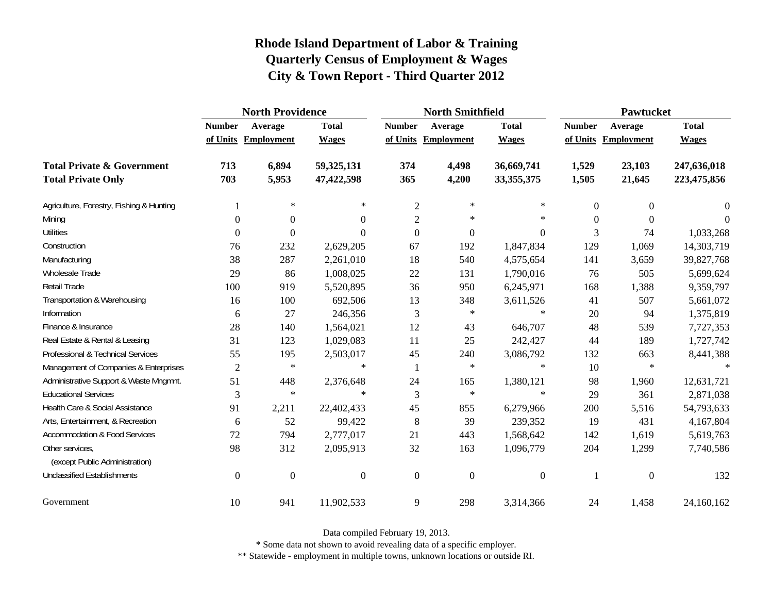|                                                   | <b>North Providence</b> |                     |                |                  | <b>North Smithfield</b> |                  | <b>Pawtucket</b> |                     |              |  |
|---------------------------------------------------|-------------------------|---------------------|----------------|------------------|-------------------------|------------------|------------------|---------------------|--------------|--|
|                                                   | <b>Number</b>           | Average             | <b>Total</b>   | <b>Number</b>    | Average                 | <b>Total</b>     | <b>Number</b>    | Average             | <b>Total</b> |  |
|                                                   |                         | of Units Employment | <b>Wages</b>   |                  | of Units Employment     | <b>Wages</b>     |                  | of Units Employment | <b>Wages</b> |  |
| <b>Total Private &amp; Government</b>             | 713                     | 6,894               | 59,325,131     | 374              | 4,498                   | 36,669,741       | 1,529            | 23,103              | 247,636,018  |  |
| <b>Total Private Only</b>                         | 703                     | 5,953               | 47,422,598     | 365              | 4,200                   | 33, 355, 375     | 1,505            | 21,645              | 223,475,856  |  |
| Agriculture, Forestry, Fishing & Hunting          |                         | $\ast$              | $\ast$         | $\overline{c}$   | ∗                       | $\ast$           | $\overline{0}$   | $\overline{0}$      | 0            |  |
| Mining                                            | $\overline{0}$          | 0                   | $\Omega$       | $\overline{c}$   | $\ast$                  | $\ast$           | $\theta$         | $\Omega$            | $\Omega$     |  |
| <b>Utilities</b>                                  | $\mathbf{0}$            | $\boldsymbol{0}$    | $\Omega$       | $\boldsymbol{0}$ | $\boldsymbol{0}$        | $\boldsymbol{0}$ | 3                | 74                  | 1,033,268    |  |
| Construction                                      | 76                      | 232                 | 2,629,205      | 67               | 192                     | 1,847,834        | 129              | 1,069               | 14,303,719   |  |
| Manufacturing                                     | 38                      | 287                 | 2,261,010      | 18               | 540                     | 4,575,654        | 141              | 3,659               | 39,827,768   |  |
| Wholesale Trade                                   | 29                      | 86                  | 1,008,025      | 22               | 131                     | 1,790,016        | 76               | 505                 | 5,699,624    |  |
| Retail Trade                                      | 100                     | 919                 | 5,520,895      | 36               | 950                     | 6,245,971        | 168              | 1,388               | 9,359,797    |  |
| Transportation & Warehousing                      | 16                      | 100                 | 692,506        | 13               | 348                     | 3,611,526        | 41               | 507                 | 5,661,072    |  |
| Information                                       | 6                       | 27                  | 246,356        | 3                | $\ast$                  | $\ast$           | 20               | 94                  | 1,375,819    |  |
| Finance & Insurance                               | 28                      | 140                 | 1,564,021      | 12               | 43                      | 646,707          | 48               | 539                 | 7,727,353    |  |
| Real Estate & Rental & Leasing                    | 31                      | 123                 | 1,029,083      | 11               | 25                      | 242,427          | 44               | 189                 | 1,727,742    |  |
| Professional & Technical Services                 | 55                      | 195                 | 2,503,017      | 45               | 240                     | 3,086,792        | 132              | 663                 | 8,441,388    |  |
| Management of Companies & Enterprises             | $\overline{2}$          | $\ast$              | $\ast$         | 1                | $\ast$                  | $\ast$           | 10               | $\ast$              | $\star$      |  |
| Administrative Support & Waste Mngmnt.            | 51                      | 448                 | 2,376,648      | 24               | 165                     | 1,380,121        | 98               | 1,960               | 12,631,721   |  |
| <b>Educational Services</b>                       | 3                       | $\ast$              | $\ast$         | 3                | $\ast$                  | $\ast$           | 29               | 361                 | 2,871,038    |  |
| Health Care & Social Assistance                   | 91                      | 2,211               | 22,402,433     | 45               | 855                     | 6,279,966        | 200              | 5,516               | 54,793,633   |  |
| Arts, Entertainment, & Recreation                 | 6                       | 52                  | 99,422         | 8                | 39                      | 239,352          | 19               | 431                 | 4,167,804    |  |
| <b>Accommodation &amp; Food Services</b>          | 72                      | 794                 | 2,777,017      | 21               | 443                     | 1,568,642        | 142              | 1,619               | 5,619,763    |  |
| Other services,<br>(except Public Administration) | 98                      | 312                 | 2,095,913      | 32               | 163                     | 1,096,779        | 204              | 1,299               | 7,740,586    |  |
| <b>Unclassified Establishments</b>                | $\boldsymbol{0}$        | $\boldsymbol{0}$    | $\overline{0}$ | $\boldsymbol{0}$ | $\boldsymbol{0}$        | $\boldsymbol{0}$ |                  | $\mathbf{0}$        | 132          |  |
| Government                                        | 10                      | 941                 | 11,902,533     | 9                | 298                     | 3,314,366        | 24               | 1,458               | 24,160,162   |  |

Data compiled February 19, 2013.

\* Some data not shown to avoid revealing data of a specific employer.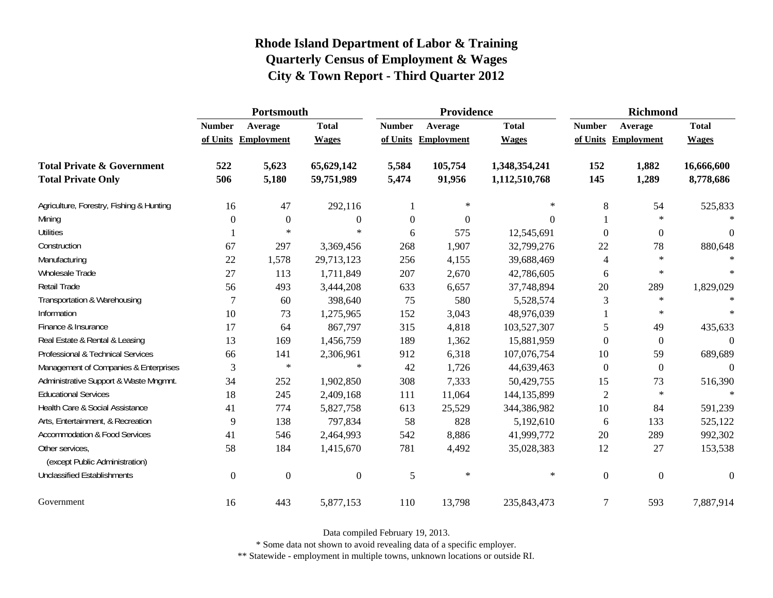|                                                   | Portsmouth    |                     |                  |                  | Providence          |               | <b>Richmond</b>  |                     |                  |
|---------------------------------------------------|---------------|---------------------|------------------|------------------|---------------------|---------------|------------------|---------------------|------------------|
|                                                   | <b>Number</b> | Average             | <b>Total</b>     | <b>Number</b>    | Average             | <b>Total</b>  | <b>Number</b>    | Average             | <b>Total</b>     |
|                                                   |               | of Units Employment | <b>Wages</b>     |                  | of Units Employment | <b>Wages</b>  |                  | of Units Employment | <b>Wages</b>     |
| <b>Total Private &amp; Government</b>             | 522           | 5,623               | 65,629,142       | 5,584            | 105,754             | 1,348,354,241 | 152              | 1,882               | 16,666,600       |
| <b>Total Private Only</b>                         | 506           | 5,180               | 59,751,989       | 5,474            | 91,956              | 1,112,510,768 | 145              | 1,289               | 8,778,686        |
| Agriculture, Forestry, Fishing & Hunting          | 16            | 47                  | 292,116          |                  | $\ast$              | $\ast$        | 8                | 54                  | 525,833          |
| Mining                                            | $\Omega$      | $\mathbf{0}$        | $\boldsymbol{0}$ | $\boldsymbol{0}$ | $\Omega$            | $\Omega$      |                  | $\ast$              | $\ast$           |
| <b>Utilities</b>                                  |               | $\ast$              | $\ast$           | 6                | 575                 | 12,545,691    | $\Omega$         | $\boldsymbol{0}$    | $\boldsymbol{0}$ |
| Construction                                      | 67            | 297                 | 3,369,456        | 268              | 1,907               | 32,799,276    | 22               | 78                  | 880,648          |
| Manufacturing                                     | 22            | 1,578               | 29,713,123       | 256              | 4,155               | 39,688,469    | 4                | $\ast$              | $\ast$           |
| Wholesale Trade                                   | 27            | 113                 | 1,711,849        | 207              | 2,670               | 42,786,605    | 6                | $\ast$              | $\ast$           |
| Retail Trade                                      | 56            | 493                 | 3,444,208        | 633              | 6,657               | 37,748,894    | 20               | 289                 | 1,829,029        |
| Transportation & Warehousing                      | 7             | 60                  | 398,640          | 75               | 580                 | 5,528,574     | 3                | $\star$             | $\ast$           |
| Information                                       | 10            | 73                  | 1,275,965        | 152              | 3,043               | 48,976,039    |                  | $\ast$              | $\ast$           |
| Finance & Insurance                               | 17            | 64                  | 867,797          | 315              | 4,818               | 103,527,307   | 5                | 49                  | 435,633          |
| Real Estate & Rental & Leasing                    | 13            | 169                 | 1,456,759        | 189              | 1,362               | 15,881,959    | $\theta$         | $\boldsymbol{0}$    | $\Omega$         |
| Professional & Technical Services                 | 66            | 141                 | 2,306,961        | 912              | 6,318               | 107,076,754   | 10               | 59                  | 689,689          |
| Management of Companies & Enterprises             | 3             | $\ast$              | $\ast$           | 42               | 1,726               | 44,639,463    | $\mathbf{0}$     | $\overline{0}$      | $\theta$         |
| Administrative Support & Waste Mngmnt.            | 34            | 252                 | 1,902,850        | 308              | 7,333               | 50,429,755    | 15               | 73                  | 516,390          |
| <b>Educational Services</b>                       | 18            | 245                 | 2,409,168        | 111              | 11,064              | 144, 135, 899 | $\overline{2}$   | $\ast$              |                  |
| Health Care & Social Assistance                   | 41            | 774                 | 5,827,758        | 613              | 25,529              | 344,386,982   | 10               | 84                  | 591,239          |
| Arts, Entertainment, & Recreation                 | 9             | 138                 | 797,834          | 58               | 828                 | 5,192,610     | 6                | 133                 | 525,122          |
| <b>Accommodation &amp; Food Services</b>          | 41            | 546                 | 2,464,993        | 542              | 8,886               | 41,999,772    | 20               | 289                 | 992,302          |
| Other services,<br>(except Public Administration) | 58            | 184                 | 1,415,670        | 781              | 4,492               | 35,028,383    | 12               | 27                  | 153,538          |
| <b>Unclassified Establishments</b>                | $\mathbf{0}$  | $\boldsymbol{0}$    | $\boldsymbol{0}$ | 5                | $\ast$              | $\ast$        | $\boldsymbol{0}$ | $\mathbf{0}$        | $\boldsymbol{0}$ |
| Government                                        | 16            | 443                 | 5,877,153        | 110              | 13,798              | 235, 843, 473 | $\overline{7}$   | 593                 | 7,887,914        |

Data compiled February 19, 2013.

\* Some data not shown to avoid revealing data of a specific employer.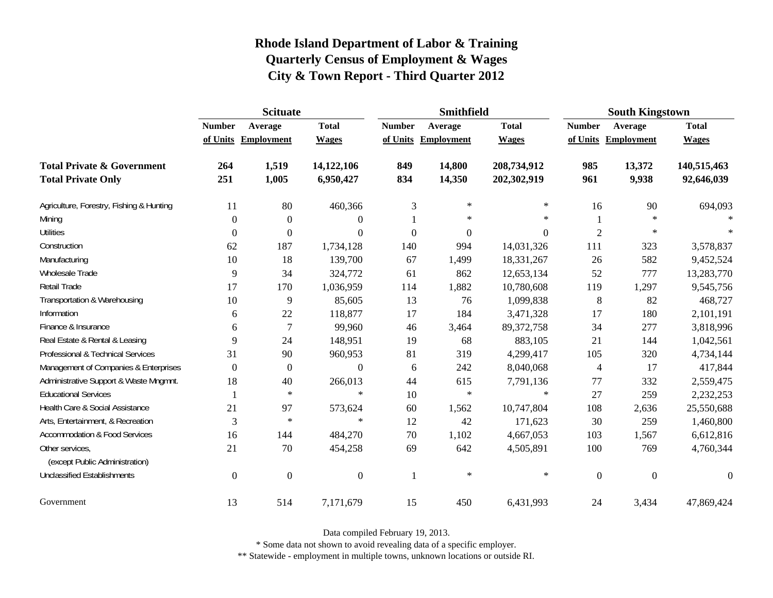|                                                   | <b>Scituate</b> |                     |                |                | Smithfield        |                | <b>South Kingstown</b> |              |                  |
|---------------------------------------------------|-----------------|---------------------|----------------|----------------|-------------------|----------------|------------------------|--------------|------------------|
|                                                   | <b>Number</b>   | Average             | <b>Total</b>   | <b>Number</b>  | Average           | <b>Total</b>   | <b>Number</b>          | Average      | <b>Total</b>     |
|                                                   |                 | of Units Employment | <b>Wages</b>   | of Units       | <b>Employment</b> | <b>Wages</b>   | of Units               | Employment   | <b>Wages</b>     |
| <b>Total Private &amp; Government</b>             | 264             | 1,519               | 14,122,106     | 849            | 14,800            | 208,734,912    | 985                    | 13,372       | 140,515,463      |
| <b>Total Private Only</b>                         | 251             | 1,005               | 6,950,427      | 834            | 14,350            | 202,302,919    | 961                    | 9,938        | 92,646,039       |
| Agriculture, Forestry, Fishing & Hunting          | 11              | 80                  | 460,366        | $\mathfrak{Z}$ | $\ast$            | $\ast$         | 16                     | 90           | 694,093          |
| Mining                                            | $\theta$        | $\theta$            | $\theta$       |                | $\ast$            | $\ast$         |                        | $\ast$       |                  |
| <b>Utilities</b>                                  | 0               | $\Omega$            | $\theta$       | $\overline{0}$ | $\boldsymbol{0}$  | $\overline{0}$ | $\overline{2}$         | ∗            |                  |
| Construction                                      | 62              | 187                 | 1,734,128      | 140            | 994               | 14,031,326     | 111                    | 323          | 3,578,837        |
| Manufacturing                                     | 10              | 18                  | 139,700        | 67             | 1,499             | 18,331,267     | 26                     | 582          | 9,452,524        |
| Wholesale Trade                                   | 9               | 34                  | 324,772        | 61             | 862               | 12,653,134     | 52                     | 777          | 13,283,770       |
| Retail Trade                                      | 17              | 170                 | 1,036,959      | 114            | 1,882             | 10,780,608     | 119                    | 1,297        | 9,545,756        |
| Transportation & Warehousing                      | 10              | 9                   | 85,605         | 13             | 76                | 1,099,838      | 8                      | 82           | 468,727          |
| Information                                       | 6               | 22                  | 118,877        | 17             | 184               | 3,471,328      | 17                     | 180          | 2,101,191        |
| Finance & Insurance                               | 6               | $\tau$              | 99,960         | 46             | 3,464             | 89, 372, 758   | 34                     | 277          | 3,818,996        |
| Real Estate & Rental & Leasing                    | 9               | 24                  | 148,951        | 19             | 68                | 883,105        | 21                     | 144          | 1,042,561        |
| Professional & Technical Services                 | 31              | 90                  | 960,953        | 81             | 319               | 4,299,417      | 105                    | 320          | 4,734,144        |
| Management of Companies & Enterprises             | $\theta$        | $\boldsymbol{0}$    | $\Omega$       | 6              | 242               | 8,040,068      | 4                      | 17           | 417,844          |
| Administrative Support & Waste Mngmnt.            | 18              | 40                  | 266,013        | 44             | 615               | 7,791,136      | $77\,$                 | 332          | 2,559,475        |
| <b>Educational Services</b>                       |                 | $\ast$              | $\ast$         | 10             | $\ast$            | $\ast$         | 27                     | 259          | 2,232,253        |
| Health Care & Social Assistance                   | 21              | 97                  | 573,624        | 60             | 1,562             | 10,747,804     | 108                    | 2,636        | 25,550,688       |
| Arts, Entertainment, & Recreation                 | 3               | $\ast$              | $\ast$         | 12             | 42                | 171,623        | 30                     | 259          | 1,460,800        |
| <b>Accommodation &amp; Food Services</b>          | 16              | 144                 | 484,270        | 70             | 1,102             | 4,667,053      | 103                    | 1,567        | 6,612,816        |
| Other services,<br>(except Public Administration) | 21              | 70                  | 454,258        | 69             | 642               | 4,505,891      | 100                    | 769          | 4,760,344        |
| <b>Unclassified Establishments</b>                | $\Omega$        | $\overline{0}$      | $\overline{0}$ | 1              | $\ast$            | $\ast$         | $\overline{0}$         | $\mathbf{0}$ | $\boldsymbol{0}$ |
| Government                                        | 13              | 514                 | 7,171,679      | 15             | 450               | 6,431,993      | 24                     | 3,434        | 47,869,424       |

Data compiled February 19, 2013.

\* Some data not shown to avoid revealing data of a specific employer.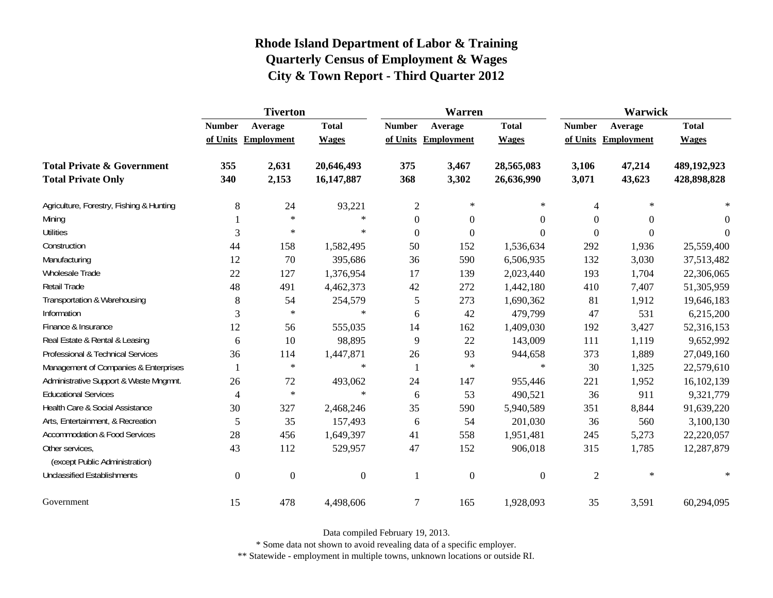|                                                   | <b>Tiverton</b>  |                     |              |                  | <b>Warren</b>       |                  | Warwick        |                  |              |
|---------------------------------------------------|------------------|---------------------|--------------|------------------|---------------------|------------------|----------------|------------------|--------------|
|                                                   | <b>Number</b>    | Average             | <b>Total</b> | <b>Number</b>    | Average             | <b>Total</b>     | <b>Number</b>  | Average          | <b>Total</b> |
|                                                   |                  | of Units Employment | <b>Wages</b> |                  | of Units Employment | <b>Wages</b>     | of Units       | Employment       | <b>Wages</b> |
| <b>Total Private &amp; Government</b>             | 355              | 2,631               | 20,646,493   | 375              | 3,467               | 28,565,083       | 3,106          | 47,214           | 489,192,923  |
| <b>Total Private Only</b>                         | 340              | 2,153               | 16,147,887   | 368              | 3,302               | 26,636,990       | 3,071          | 43,623           | 428,898,828  |
| Agriculture, Forestry, Fishing & Hunting          | 8                | 24                  | 93,221       | $\overline{2}$   | $\ast$              | ∗                | 4              | $\ast$           |              |
| Mining                                            |                  | $\ast$              | $\ast$       | $\boldsymbol{0}$ | $\boldsymbol{0}$    | $\boldsymbol{0}$ | $\Omega$       | $\Omega$         | $\theta$     |
| <b>Utilities</b>                                  | 3                | $\ast$              | $\ast$       | $\overline{0}$   | $\boldsymbol{0}$    | $\overline{0}$   | $\theta$       | $\boldsymbol{0}$ | $\Omega$     |
| Construction                                      | 44               | 158                 | 1,582,495    | 50               | 152                 | 1,536,634        | 292            | 1,936            | 25,559,400   |
| Manufacturing                                     | 12               | 70                  | 395,686      | 36               | 590                 | 6,506,935        | 132            | 3,030            | 37,513,482   |
| Wholesale Trade                                   | 22               | 127                 | 1,376,954    | 17               | 139                 | 2,023,440        | 193            | 1,704            | 22,306,065   |
| Retail Trade                                      | 48               | 491                 | 4,462,373    | 42               | 272                 | 1,442,180        | 410            | 7,407            | 51,305,959   |
| Transportation & Warehousing                      | 8                | 54                  | 254,579      | 5                | 273                 | 1,690,362        | 81             | 1,912            | 19,646,183   |
| Information                                       | 3                | $\ast$              | $\ast$       | 6                | 42                  | 479,799          | 47             | 531              | 6,215,200    |
| Finance & Insurance                               | 12               | 56                  | 555,035      | 14               | 162                 | 1,409,030        | 192            | 3,427            | 52,316,153   |
| Real Estate & Rental & Leasing                    | 6                | 10                  | 98,895       | 9                | 22                  | 143,009          | 111            | 1,119            | 9,652,992    |
| Professional & Technical Services                 | 36               | 114                 | 1,447,871    | $26\,$           | 93                  | 944,658          | 373            | 1,889            | 27,049,160   |
| Management of Companies & Enterprises             |                  | $\ast$              | $\ast$       | $\mathbf{1}$     | $\ast$              | $\ast$           | 30             | 1,325            | 22,579,610   |
| Administrative Support & Waste Mngmnt.            | 26               | 72                  | 493,062      | 24               | 147                 | 955,446          | 221            | 1,952            | 16,102,139   |
| <b>Educational Services</b>                       | $\overline{4}$   | $\ast$              | $\ast$       | 6                | 53                  | 490,521          | 36             | 911              | 9,321,779    |
| Health Care & Social Assistance                   | 30               | 327                 | 2,468,246    | 35               | 590                 | 5,940,589        | 351            | 8,844            | 91,639,220   |
| Arts, Entertainment, & Recreation                 | 5                | 35                  | 157,493      | 6                | 54                  | 201,030          | 36             | 560              | 3,100,130    |
| <b>Accommodation &amp; Food Services</b>          | 28               | 456                 | 1,649,397    | 41               | 558                 | 1,951,481        | 245            | 5,273            | 22,220,057   |
| Other services,<br>(except Public Administration) | 43               | 112                 | 529,957      | 47               | 152                 | 906,018          | 315            | 1,785            | 12,287,879   |
| <b>Unclassified Establishments</b>                | $\boldsymbol{0}$ | $\mathbf{0}$        | $\mathbf{0}$ | 1                | $\boldsymbol{0}$    | $\boldsymbol{0}$ | $\overline{2}$ | $\ast$           | $\ast$       |
| Government                                        | 15               | 478                 | 4,498,606    | $\tau$           | 165                 | 1,928,093        | 35             | 3,591            | 60,294,095   |

Data compiled February 19, 2013.

\* Some data not shown to avoid revealing data of a specific employer.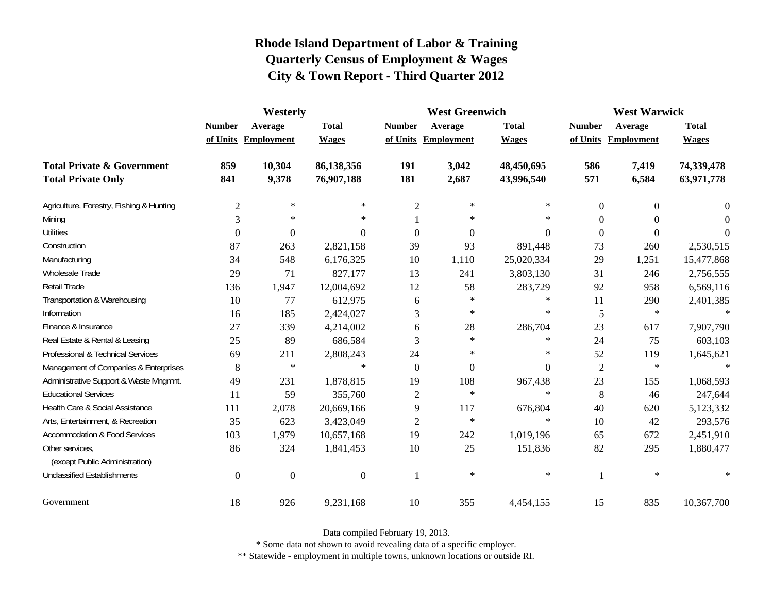|                                                   | Westerly         |                     |                  |                | <b>West Greenwich</b> |              | <b>West Warwick</b> |                     |              |
|---------------------------------------------------|------------------|---------------------|------------------|----------------|-----------------------|--------------|---------------------|---------------------|--------------|
|                                                   | <b>Number</b>    | Average             | <b>Total</b>     | <b>Number</b>  | Average               | <b>Total</b> | <b>Number</b>       | Average             | <b>Total</b> |
|                                                   |                  | of Units Employment | <b>Wages</b>     |                | of Units Employment   | <b>Wages</b> |                     | of Units Employment | <b>Wages</b> |
| <b>Total Private &amp; Government</b>             | 859              | 10,304              | 86,138,356       | 191            | 3,042                 | 48,450,695   | 586                 | 7,419               | 74,339,478   |
| <b>Total Private Only</b>                         | 841              | 9,378               | 76,907,188       | 181            | 2,687                 | 43,996,540   | 571                 | 6,584               | 63,971,778   |
| Agriculture, Forestry, Fishing & Hunting          | $\mathfrak{2}$   | $\ast$              | $\ast$           | $\overline{2}$ | $\ast$                | $\ast$       | $\theta$            | $\mathbf{0}$        | 0            |
| Mining                                            | 3                | $\ast$              | $\ast$           |                | $\ast$                | $\ast$       | $\overline{0}$      | $\mathbf{0}$        | $\Omega$     |
| <b>Utilities</b>                                  | $\boldsymbol{0}$ | $\boldsymbol{0}$    | $\boldsymbol{0}$ | $\overline{0}$ | $\boldsymbol{0}$      | $\Omega$     | $\overline{0}$      | $\boldsymbol{0}$    | $\theta$     |
| Construction                                      | 87               | 263                 | 2,821,158        | 39             | 93                    | 891,448      | 73                  | 260                 | 2,530,515    |
| Manufacturing                                     | 34               | 548                 | 6,176,325        | 10             | 1,110                 | 25,020,334   | 29                  | 1,251               | 15,477,868   |
| Wholesale Trade                                   | 29               | 71                  | 827,177          | 13             | 241                   | 3,803,130    | 31                  | 246                 | 2,756,555    |
| Retail Trade                                      | 136              | 1,947               | 12,004,692       | 12             | 58                    | 283,729      | 92                  | 958                 | 6,569,116    |
| Transportation & Warehousing                      | 10               | 77                  | 612,975          | 6              | $\ast$                | $\ast$       | 11                  | 290                 | 2,401,385    |
| Information                                       | 16               | 185                 | 2,424,027        | 3              | $\ast$                | $\ast$       | 5                   | $\ast$              | $\ast$       |
| Finance & Insurance                               | 27               | 339                 | 4,214,002        | 6              | 28                    | 286,704      | 23                  | 617                 | 7,907,790    |
| Real Estate & Rental & Leasing                    | 25               | 89                  | 686,584          | 3              | $\ast$                | $\ast$       | 24                  | 75                  | 603,103      |
| Professional & Technical Services                 | 69               | 211                 | 2,808,243        | 24             | $\ast$                | $\ast$       | 52                  | 119                 | 1,645,621    |
| Management of Companies & Enterprises             | 8                | $\ast$              | $\ast$           | $\overline{0}$ | $\boldsymbol{0}$      | $\theta$     | $\overline{2}$      | $\ast$              | $\ast$       |
| Administrative Support & Waste Mngmnt.            | 49               | 231                 | 1,878,815        | 19             | 108                   | 967,438      | 23                  | 155                 | 1,068,593    |
| <b>Educational Services</b>                       | 11               | 59                  | 355,760          | 2              | $\ast$                | $\ast$       | 8                   | 46                  | 247,644      |
| Health Care & Social Assistance                   | 111              | 2,078               | 20,669,166       | 9              | 117                   | 676,804      | 40                  | 620                 | 5,123,332    |
| Arts, Entertainment, & Recreation                 | 35               | 623                 | 3,423,049        | $\overline{c}$ | $\ast$                | $\ast$       | 10                  | 42                  | 293,576      |
| <b>Accommodation &amp; Food Services</b>          | 103              | 1,979               | 10,657,168       | 19             | 242                   | 1,019,196    | 65                  | 672                 | 2,451,910    |
| Other services,<br>(except Public Administration) | 86               | 324                 | 1,841,453        | 10             | 25                    | 151,836      | 82                  | 295                 | 1,880,477    |
| <b>Unclassified Establishments</b>                | $\overline{0}$   | $\boldsymbol{0}$    | $\boldsymbol{0}$ | $\mathbf{1}$   | $\ast$                | $\ast$       | 1                   | $\ast$              | $\ast$       |
| Government                                        | 18               | 926                 | 9,231,168        | 10             | 355                   | 4,454,155    | 15                  | 835                 | 10,367,700   |

Data compiled February 19, 2013.

\* Some data not shown to avoid revealing data of a specific employer.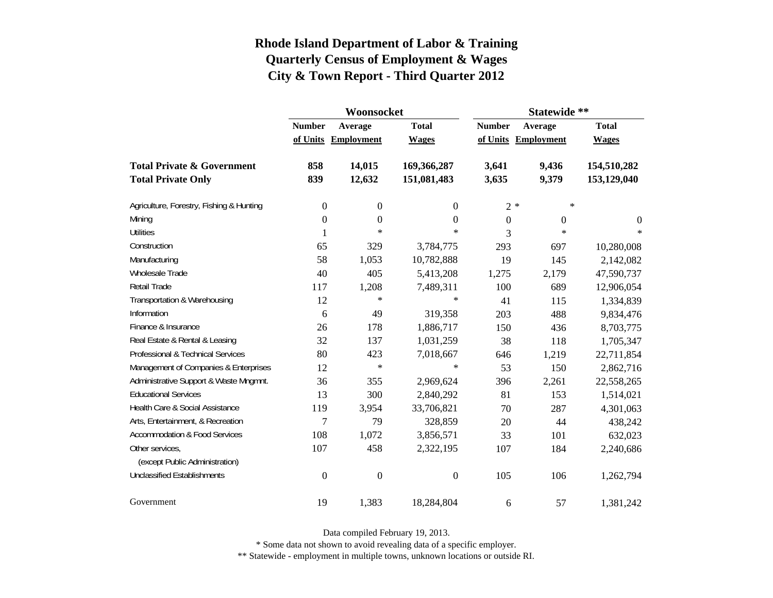|                                          |                  | Woonsocket        |                  | Statewide **  |                     |              |  |
|------------------------------------------|------------------|-------------------|------------------|---------------|---------------------|--------------|--|
|                                          | <b>Number</b>    | Average           | <b>Total</b>     | <b>Number</b> | Average             | <b>Total</b> |  |
|                                          | of Units         | <b>Employment</b> | <b>Wages</b>     |               | of Units Employment | <b>Wages</b> |  |
| <b>Total Private &amp; Government</b>    | 858              | 14,015            | 169,366,287      | 3,641         | 9,436               | 154,510,282  |  |
| <b>Total Private Only</b>                | 839              | 12,632            | 151,081,483      | 3,635         | 9,379               | 153,129,040  |  |
| Agriculture, Forestry, Fishing & Hunting | $\boldsymbol{0}$ | $\boldsymbol{0}$  | 0                |               | $2 *$<br>∗          |              |  |
| Mining                                   | $\boldsymbol{0}$ | $\boldsymbol{0}$  | $\theta$         | $\Omega$      | $\theta$            | $\theta$     |  |
| <b>Utilities</b>                         | 1                | $\ast$            | $\ast$           | 3             | $\star$             | $\ast$       |  |
| Construction                             | 65               | 329               | 3,784,775        | 293           | 697                 | 10,280,008   |  |
| Manufacturing                            | 58               | 1,053             | 10,782,888       | 19            | 145                 | 2,142,082    |  |
| Wholesale Trade                          | 40               | 405               | 5,413,208        | 1,275         | 2,179               | 47,590,737   |  |
| <b>Retail Trade</b>                      | 117              | 1,208             | 7,489,311        | 100           | 689                 | 12,906,054   |  |
| Transportation & Warehousing             | 12               | $\ast$            | $\ast$           | 41            | 115                 | 1,334,839    |  |
| Information                              | 6                | 49                | 319,358          | 203           | 488                 | 9,834,476    |  |
| Finance & Insurance                      | 26               | 178               | 1,886,717        | 150           | 436                 | 8,703,775    |  |
| Real Estate & Rental & Leasing           | 32               | 137               | 1,031,259        | 38            | 118                 | 1,705,347    |  |
| Professional & Technical Services        | 80               | 423               | 7,018,667        | 646           | 1,219               | 22,711,854   |  |
| Management of Companies & Enterprises    | 12               | $\ast$            | $\ast$           | 53            | 150                 | 2,862,716    |  |
| Administrative Support & Waste Mngmnt.   | 36               | 355               | 2,969,624        | 396           | 2,261               | 22,558,265   |  |
| <b>Educational Services</b>              | 13               | 300               | 2,840,292        | 81            | 153                 | 1,514,021    |  |
| Health Care & Social Assistance          | 119              | 3,954             | 33,706,821       | 70            | 287                 | 4,301,063    |  |
| Arts, Entertainment, & Recreation        | $\overline{7}$   | 79                | 328,859          | 20            | 44                  | 438,242      |  |
| <b>Accommodation &amp; Food Services</b> | 108              | 1,072             | 3,856,571        | 33            | 101                 | 632,023      |  |
| Other services,                          | 107              | 458               | 2,322,195        | 107           | 184                 | 2,240,686    |  |
| (except Public Administration)           |                  |                   |                  |               |                     |              |  |
| <b>Unclassified Establishments</b>       | $\boldsymbol{0}$ | $\boldsymbol{0}$  | $\boldsymbol{0}$ | 105           | 106                 | 1,262,794    |  |
| Government                               | 19               | 1,383             | 18,284,804       | 6             | 57                  | 1,381,242    |  |

Data compiled February 19, 2013.

\* Some data not shown to avoid revealing data of a specific employer.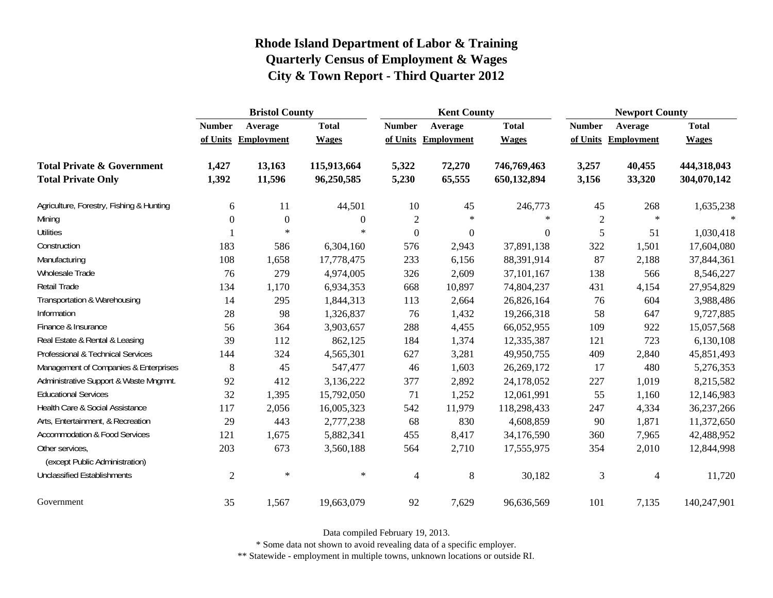|                                                   | <b>Bristol County</b> |                     |              |                | <b>Kent County</b> |              | <b>Newport County</b> |            |              |
|---------------------------------------------------|-----------------------|---------------------|--------------|----------------|--------------------|--------------|-----------------------|------------|--------------|
|                                                   | <b>Number</b>         | Average             | <b>Total</b> | <b>Number</b>  | Average            | <b>Total</b> | <b>Number</b>         | Average    | <b>Total</b> |
|                                                   |                       | of Units Employment | <b>Wages</b> | of Units       | <b>Employment</b>  | <b>Wages</b> | of Units              | Employment | <b>Wages</b> |
| <b>Total Private &amp; Government</b>             | 1,427                 | 13,163              | 115,913,664  | 5,322          | 72,270             | 746,769,463  | 3,257                 | 40,455     | 444,318,043  |
| <b>Total Private Only</b>                         | 1,392                 | 11,596              | 96,250,585   | 5,230          | 65,555             | 650,132,894  | 3,156                 | 33,320     | 304,070,142  |
| Agriculture, Forestry, Fishing & Hunting          | 6                     | 11                  | 44,501       | 10             | 45                 | 246,773      | 45                    | 268        | 1,635,238    |
| Mining                                            | $\mathbf{0}$          | $\mathbf{0}$        | $\theta$     | 2              | $\ast$             | $\ast$       | $\overline{2}$        | $\ast$     | $\ast$       |
| <b>Utilities</b>                                  |                       | $\ast$              | $\ast$       | $\overline{0}$ | $\boldsymbol{0}$   | $\Omega$     | 5                     | 51         | 1,030,418    |
| Construction                                      | 183                   | 586                 | 6,304,160    | 576            | 2,943              | 37,891,138   | 322                   | 1,501      | 17,604,080   |
| Manufacturing                                     | 108                   | 1,658               | 17,778,475   | 233            | 6,156              | 88,391,914   | 87                    | 2,188      | 37,844,361   |
| Wholesale Trade                                   | 76                    | 279                 | 4,974,005    | 326            | 2,609              | 37,101,167   | 138                   | 566        | 8,546,227    |
| Retail Trade                                      | 134                   | 1,170               | 6,934,353    | 668            | 10,897             | 74,804,237   | 431                   | 4,154      | 27,954,829   |
| Transportation & Warehousing                      | 14                    | 295                 | 1,844,313    | 113            | 2,664              | 26,826,164   | 76                    | 604        | 3,988,486    |
| Information                                       | 28                    | 98                  | 1,326,837    | 76             | 1,432              | 19,266,318   | 58                    | 647        | 9,727,885    |
| Finance & Insurance                               | 56                    | 364                 | 3,903,657    | 288            | 4,455              | 66,052,955   | 109                   | 922        | 15,057,568   |
| Real Estate & Rental & Leasing                    | 39                    | 112                 | 862,125      | 184            | 1,374              | 12,335,387   | 121                   | 723        | 6,130,108    |
| Professional & Technical Services                 | 144                   | 324                 | 4,565,301    | 627            | 3,281              | 49,950,755   | 409                   | 2,840      | 45,851,493   |
| Management of Companies & Enterprises             | 8                     | 45                  | 547,477      | 46             | 1,603              | 26,269,172   | 17                    | 480        | 5,276,353    |
| Administrative Support & Waste Mngmnt.            | 92                    | 412                 | 3,136,222    | 377            | 2,892              | 24,178,052   | 227                   | 1,019      | 8,215,582    |
| <b>Educational Services</b>                       | 32                    | 1,395               | 15,792,050   | 71             | 1,252              | 12,061,991   | 55                    | 1,160      | 12,146,983   |
| Health Care & Social Assistance                   | 117                   | 2,056               | 16,005,323   | 542            | 11,979             | 118,298,433  | 247                   | 4,334      | 36,237,266   |
| Arts, Entertainment, & Recreation                 | 29                    | 443                 | 2,777,238    | 68             | 830                | 4,608,859    | 90                    | 1,871      | 11,372,650   |
| <b>Accommodation &amp; Food Services</b>          | 121                   | 1,675               | 5,882,341    | 455            | 8,417              | 34,176,590   | 360                   | 7,965      | 42,488,952   |
| Other services,<br>(except Public Administration) | 203                   | 673                 | 3,560,188    | 564            | 2,710              | 17,555,975   | 354                   | 2,010      | 12,844,998   |
| <b>Unclassified Establishments</b>                | $\overline{2}$        | $\ast$              | $\ast$       | $\overline{4}$ | $\,8\,$            | 30,182       | 3                     | 4          | 11,720       |
| Government                                        | 35                    | 1,567               | 19,663,079   | 92             | 7,629              | 96,636,569   | 101                   | 7,135      | 140,247,901  |

Data compiled February 19, 2013.

\* Some data not shown to avoid revealing data of a specific employer.